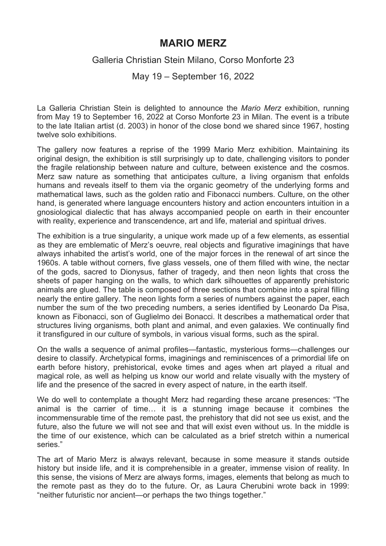## **MARIO MERZ**

## Galleria Christian Stein Milano, Corso Monforte 23

May 19 – September 16, 2022

La Galleria Christian Stein is delighted to announce the *Mario Merz* exhibition, running from May 19 to September 16, 2022 at Corso Monforte 23 in Milan. The event is a tribute to the late Italian artist (d. 2003) in honor of the close bond we shared since 1967, hosting twelve solo exhibitions.

The gallery now features a reprise of the 1999 Mario Merz exhibition. Maintaining its original design, the exhibition is still surprisingly up to date, challenging visitors to ponder the fragile relationship between nature and culture, between existence and the cosmos. Merz saw nature as something that anticipates culture, a living organism that enfolds humans and reveals itself to them via the organic geometry of the underlying forms and mathematical laws, such as the golden ratio and Fibonacci numbers. Culture, on the other hand, is generated where language encounters history and action encounters intuition in a gnosiological dialectic that has always accompanied people on earth in their encounter with reality, experience and transcendence, art and life, material and spiritual drives.

The exhibition is a true singularity, a unique work made up of a few elements, as essential as they are emblematic of Merz's oeuvre, real objects and figurative imaginings that have always inhabited the artist's world, one of the major forces in the renewal of art since the 1960s. A table without corners, five glass vessels, one of them filled with wine, the nectar of the gods, sacred to Dionysus, father of tragedy, and then neon lights that cross the sheets of paper hanging on the walls, to which dark silhouettes of apparently prehistoric animals are glued. The table is composed of three sections that combine into a spiral filling nearly the entire gallery. The neon lights form a series of numbers against the paper, each number the sum of the two preceding numbers, a series identified by Leonardo Da Pisa, known as Fibonacci, son of Guglielmo dei Bonacci. It describes a mathematical order that structures living organisms, both plant and animal, and even galaxies. We continually find it transfigured in our culture of symbols, in various visual forms, such as the spiral.

On the walls a sequence of animal profiles—fantastic, mysterious forms—challenges our desire to classify. Archetypical forms, imaginings and reminiscences of a primordial life on earth before history, prehistorical, evoke times and ages when art played a ritual and magical role, as well as helping us know our world and relate visually with the mystery of life and the presence of the sacred in every aspect of nature, in the earth itself.

We do well to contemplate a thought Merz had regarding these arcane presences: "The animal is the carrier of time… it is a stunning image because it combines the incommensurable time of the remote past, the prehistory that did not see us exist, and the future, also the future we will not see and that will exist even without us. In the middle is the time of our existence, which can be calculated as a brief stretch within a numerical series."

The art of Mario Merz is always relevant, because in some measure it stands outside history but inside life, and it is comprehensible in a greater, immense vision of reality. In this sense, the visions of Merz are always forms, images, elements that belong as much to the remote past as they do to the future. Or, as Laura Cherubini wrote back in 1999: "neither futuristic nor ancient—or perhaps the two things together."